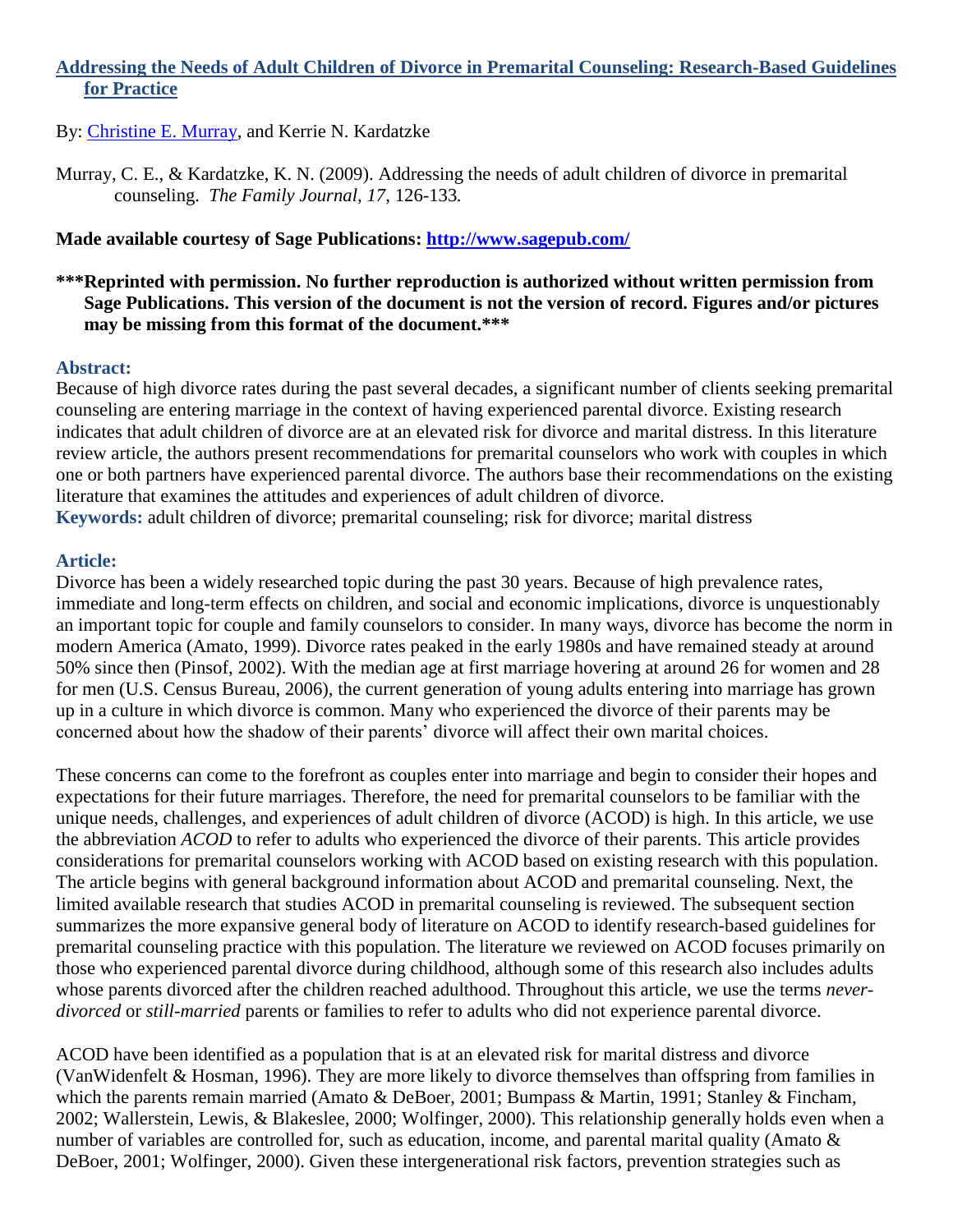## **Addressing the Needs of Adult Children of Divorce in Premarital Counseling: Research-Based Guidelines for Practice**

# By: [Christine E. Murray,](http://libres.uncg.edu/ir/uncg/clist.aspx?id=894) and Kerrie N. Kardatzke

Murray, C. E., & Kardatzke, K. N. (2009). Addressing the needs of adult children of divorce in premarital counseling. *The Family Journal, 17,* 126-133*.*

### **Made available courtesy of Sage Publications:<http://www.sagepub.com/>**

### **\*\*\*Reprinted with permission. No further reproduction is authorized without written permission from Sage Publications. This version of the document is not the version of record. Figures and/or pictures may be missing from this format of the document.\*\*\***

#### **Abstract:**

Because of high divorce rates during the past several decades, a significant number of clients seeking premarital counseling are entering marriage in the context of having experienced parental divorce. Existing research indicates that adult children of divorce are at an elevated risk for divorce and marital distress. In this literature review article, the authors present recommendations for premarital counselors who work with couples in which one or both partners have experienced parental divorce. The authors base their recommendations on the existing literature that examines the attitudes and experiences of adult children of divorce.

**Keywords:** adult children of divorce; premarital counseling; risk for divorce; marital distress

#### **Article:**

Divorce has been a widely researched topic during the past 30 years. Because of high prevalence rates, immediate and long-term effects on children, and social and economic implications, divorce is unquestionably an important topic for couple and family counselors to consider. In many ways, divorce has become the norm in modern America (Amato, 1999). Divorce rates peaked in the early 1980s and have remained steady at around 50% since then (Pinsof, 2002). With the median age at first marriage hovering at around 26 for women and 28 for men (U.S. Census Bureau, 2006), the current generation of young adults entering into marriage has grown up in a culture in which divorce is common. Many who experienced the divorce of their parents may be concerned about how the shadow of their parents' divorce will affect their own marital choices.

These concerns can come to the forefront as couples enter into marriage and begin to consider their hopes and expectations for their future marriages. Therefore, the need for premarital counselors to be familiar with the unique needs, challenges, and experiences of adult children of divorce (ACOD) is high. In this article, we use the abbreviation *ACOD* to refer to adults who experienced the divorce of their parents. This article provides considerations for premarital counselors working with ACOD based on existing research with this population. The article begins with general background information about ACOD and premarital counseling. Next, the limited available research that studies ACOD in premarital counseling is reviewed. The subsequent section summarizes the more expansive general body of literature on ACOD to identify research-based guidelines for premarital counseling practice with this population. The literature we reviewed on ACOD focuses primarily on those who experienced parental divorce during childhood, although some of this research also includes adults whose parents divorced after the children reached adulthood. Throughout this article, we use the terms *neverdivorced* or *still-married* parents or families to refer to adults who did not experience parental divorce.

ACOD have been identified as a population that is at an elevated risk for marital distress and divorce (VanWidenfelt & Hosman, 1996). They are more likely to divorce themselves than offspring from families in which the parents remain married (Amato & DeBoer, 2001; Bumpass & Martin, 1991; Stanley & Fincham, 2002; Wallerstein, Lewis, & Blakeslee, 2000; Wolfinger, 2000). This relationship generally holds even when a number of variables are controlled for, such as education, income, and parental marital quality (Amato & DeBoer, 2001; Wolfinger, 2000). Given these intergenerational risk factors, prevention strategies such as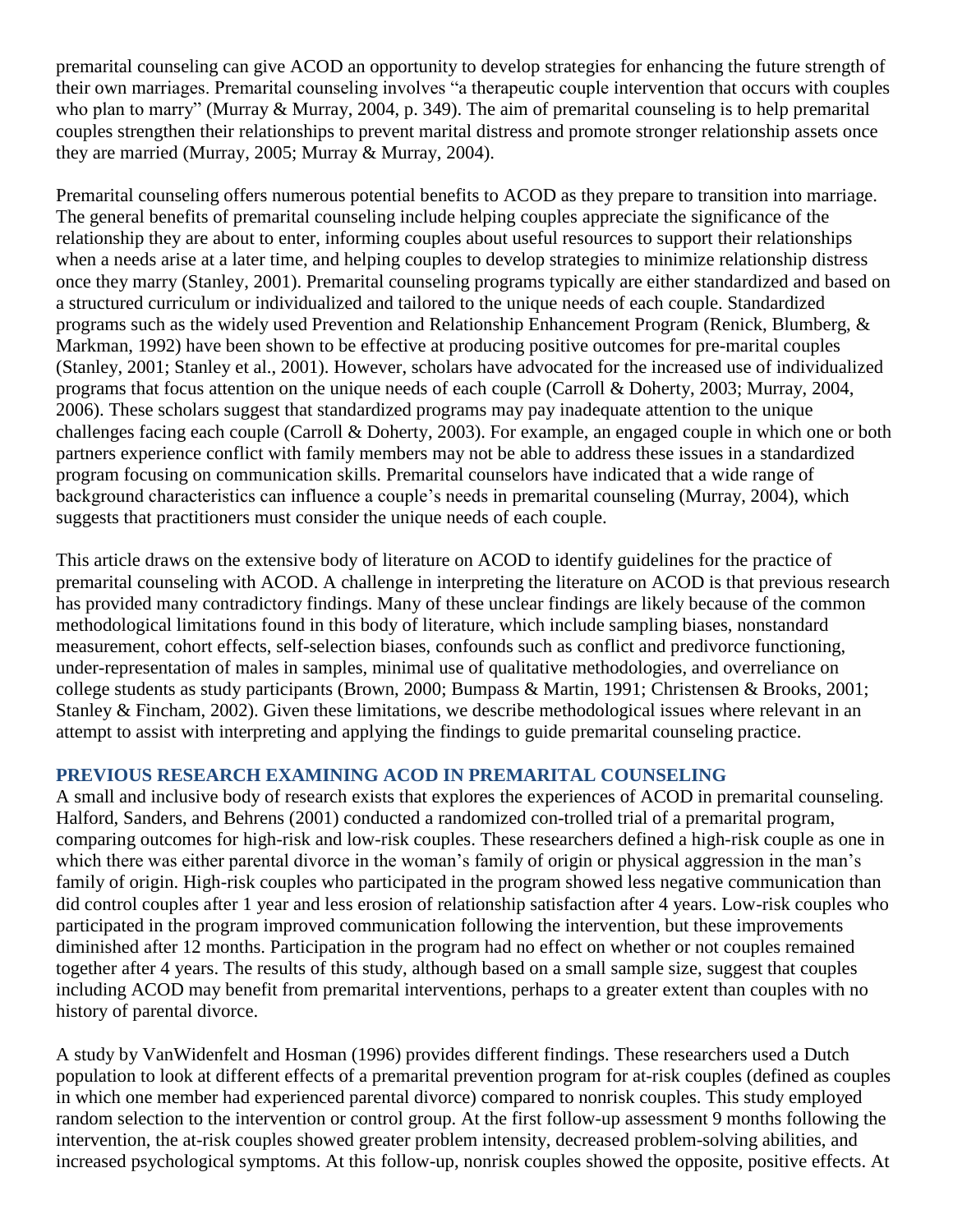premarital counseling can give ACOD an opportunity to develop strategies for enhancing the future strength of their own marriages. Premarital counseling involves "a therapeutic couple intervention that occurs with couples who plan to marry" (Murray  $\&$  Murray, 2004, p. 349). The aim of premarital counseling is to help premarital couples strengthen their relationships to prevent marital distress and promote stronger relationship assets once they are married (Murray, 2005; Murray & Murray, 2004).

Premarital counseling offers numerous potential benefits to ACOD as they prepare to transition into marriage. The general benefits of premarital counseling include helping couples appreciate the significance of the relationship they are about to enter, informing couples about useful resources to support their relationships when a needs arise at a later time, and helping couples to develop strategies to minimize relationship distress once they marry (Stanley, 2001). Premarital counseling programs typically are either standardized and based on a structured curriculum or individualized and tailored to the unique needs of each couple. Standardized programs such as the widely used Prevention and Relationship Enhancement Program (Renick, Blumberg, & Markman, 1992) have been shown to be effective at producing positive outcomes for pre-marital couples (Stanley, 2001; Stanley et al., 2001). However, scholars have advocated for the increased use of individualized programs that focus attention on the unique needs of each couple (Carroll & Doherty, 2003; Murray, 2004, 2006). These scholars suggest that standardized programs may pay inadequate attention to the unique challenges facing each couple (Carroll & Doherty, 2003). For example, an engaged couple in which one or both partners experience conflict with family members may not be able to address these issues in a standardized program focusing on communication skills. Premarital counselors have indicated that a wide range of background characteristics can influence a couple's needs in premarital counseling (Murray, 2004), which suggests that practitioners must consider the unique needs of each couple.

This article draws on the extensive body of literature on ACOD to identify guidelines for the practice of premarital counseling with ACOD. A challenge in interpreting the literature on ACOD is that previous research has provided many contradictory findings. Many of these unclear findings are likely because of the common methodological limitations found in this body of literature, which include sampling biases, nonstandard measurement, cohort effects, self-selection biases, confounds such as conflict and predivorce functioning, under-representation of males in samples, minimal use of qualitative methodologies, and overreliance on college students as study participants (Brown, 2000; Bumpass & Martin, 1991; Christensen & Brooks, 2001; Stanley & Fincham, 2002). Given these limitations, we describe methodological issues where relevant in an attempt to assist with interpreting and applying the findings to guide premarital counseling practice.

## **PREVIOUS RESEARCH EXAMINING ACOD IN PREMARITAL COUNSELING**

A small and inclusive body of research exists that explores the experiences of ACOD in premarital counseling. Halford, Sanders, and Behrens (2001) conducted a randomized con-trolled trial of a premarital program, comparing outcomes for high-risk and low-risk couples. These researchers defined a high-risk couple as one in which there was either parental divorce in the woman's family of origin or physical aggression in the man's family of origin. High-risk couples who participated in the program showed less negative communication than did control couples after 1 year and less erosion of relationship satisfaction after 4 years. Low-risk couples who participated in the program improved communication following the intervention, but these improvements diminished after 12 months. Participation in the program had no effect on whether or not couples remained together after 4 years. The results of this study, although based on a small sample size, suggest that couples including ACOD may benefit from premarital interventions, perhaps to a greater extent than couples with no history of parental divorce.

A study by VanWidenfelt and Hosman (1996) provides different findings. These researchers used a Dutch population to look at different effects of a premarital prevention program for at-risk couples (defined as couples in which one member had experienced parental divorce) compared to nonrisk couples. This study employed random selection to the intervention or control group. At the first follow-up assessment 9 months following the intervention, the at-risk couples showed greater problem intensity, decreased problem-solving abilities, and increased psychological symptoms. At this follow-up, nonrisk couples showed the opposite, positive effects. At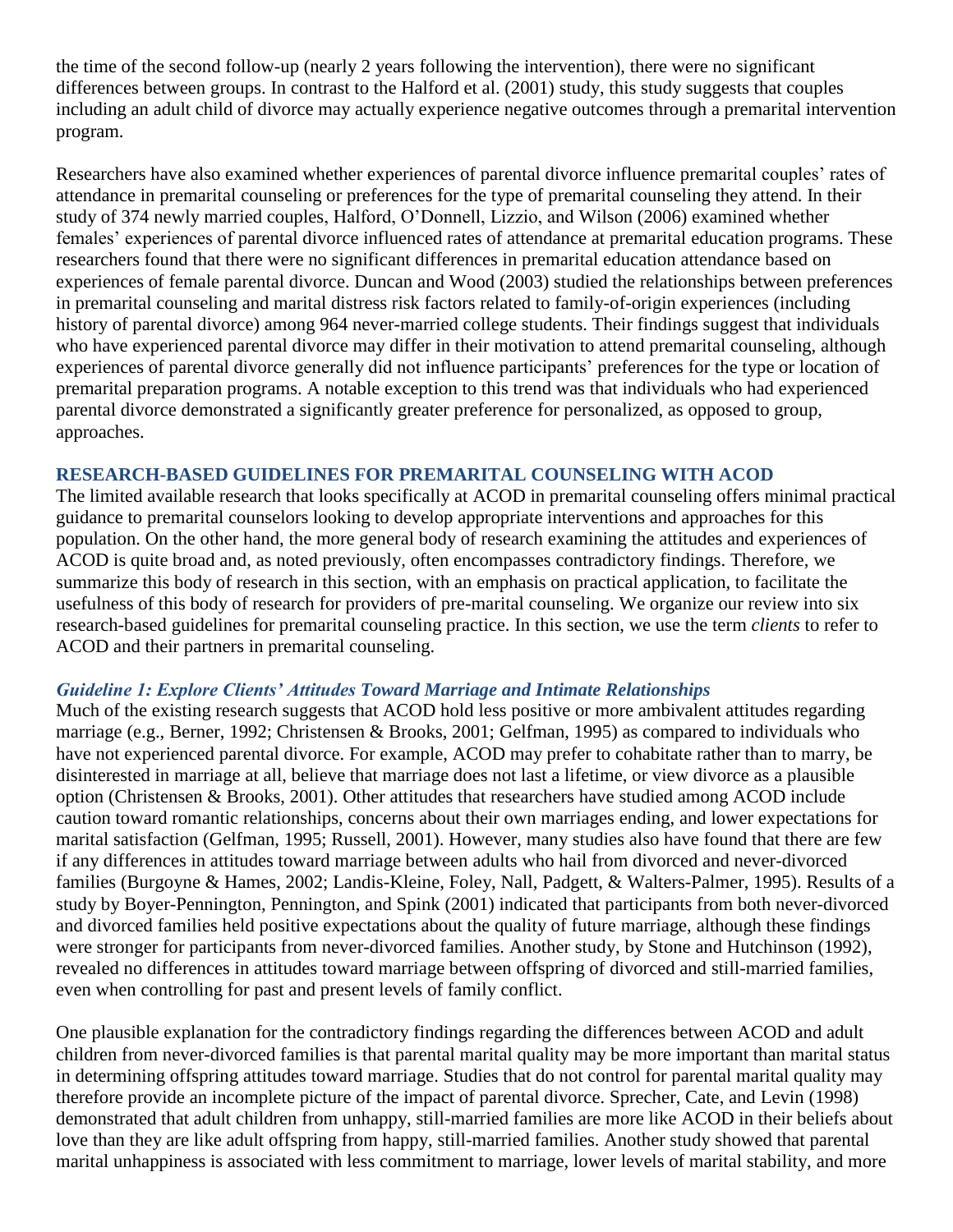the time of the second follow-up (nearly 2 years following the intervention), there were no significant differences between groups. In contrast to the Halford et al. (2001) study, this study suggests that couples including an adult child of divorce may actually experience negative outcomes through a premarital intervention program.

Researchers have also examined whether experiences of parental divorce influence premarital couples' rates of attendance in premarital counseling or preferences for the type of premarital counseling they attend. In their study of 374 newly married couples, Halford, O'Donnell, Lizzio, and Wilson (2006) examined whether females' experiences of parental divorce influenced rates of attendance at premarital education programs. These researchers found that there were no significant differences in premarital education attendance based on experiences of female parental divorce. Duncan and Wood (2003) studied the relationships between preferences in premarital counseling and marital distress risk factors related to family-of-origin experiences (including history of parental divorce) among 964 never-married college students. Their findings suggest that individuals who have experienced parental divorce may differ in their motivation to attend premarital counseling, although experiences of parental divorce generally did not influence participants' preferences for the type or location of premarital preparation programs. A notable exception to this trend was that individuals who had experienced parental divorce demonstrated a significantly greater preference for personalized, as opposed to group, approaches.

## **RESEARCH-BASED GUIDELINES FOR PREMARITAL COUNSELING WITH ACOD**

The limited available research that looks specifically at ACOD in premarital counseling offers minimal practical guidance to premarital counselors looking to develop appropriate interventions and approaches for this population. On the other hand, the more general body of research examining the attitudes and experiences of ACOD is quite broad and, as noted previously, often encompasses contradictory findings. Therefore, we summarize this body of research in this section, with an emphasis on practical application, to facilitate the usefulness of this body of research for providers of pre-marital counseling. We organize our review into six research-based guidelines for premarital counseling practice. In this section, we use the term *clients* to refer to ACOD and their partners in premarital counseling.

#### *Guideline 1: Explore Clients' Attitudes Toward Marriage and Intimate Relationships*

Much of the existing research suggests that ACOD hold less positive or more ambivalent attitudes regarding marriage (e.g., Berner, 1992; Christensen & Brooks, 2001; Gelfman, 1995) as compared to individuals who have not experienced parental divorce. For example, ACOD may prefer to cohabitate rather than to marry, be disinterested in marriage at all, believe that marriage does not last a lifetime, or view divorce as a plausible option (Christensen & Brooks, 2001). Other attitudes that researchers have studied among ACOD include caution toward romantic relationships, concerns about their own marriages ending, and lower expectations for marital satisfaction (Gelfman, 1995; Russell, 2001). However, many studies also have found that there are few if any differences in attitudes toward marriage between adults who hail from divorced and never-divorced families (Burgoyne & Hames, 2002; Landis-Kleine, Foley, Nall, Padgett, & Walters-Palmer, 1995). Results of a study by Boyer-Pennington, Pennington, and Spink (2001) indicated that participants from both never-divorced and divorced families held positive expectations about the quality of future marriage, although these findings were stronger for participants from never-divorced families. Another study, by Stone and Hutchinson (1992), revealed no differences in attitudes toward marriage between offspring of divorced and still-married families, even when controlling for past and present levels of family conflict.

One plausible explanation for the contradictory findings regarding the differences between ACOD and adult children from never-divorced families is that parental marital quality may be more important than marital status in determining offspring attitudes toward marriage. Studies that do not control for parental marital quality may therefore provide an incomplete picture of the impact of parental divorce. Sprecher, Cate, and Levin (1998) demonstrated that adult children from unhappy, still-married families are more like ACOD in their beliefs about love than they are like adult offspring from happy, still-married families. Another study showed that parental marital unhappiness is associated with less commitment to marriage, lower levels of marital stability, and more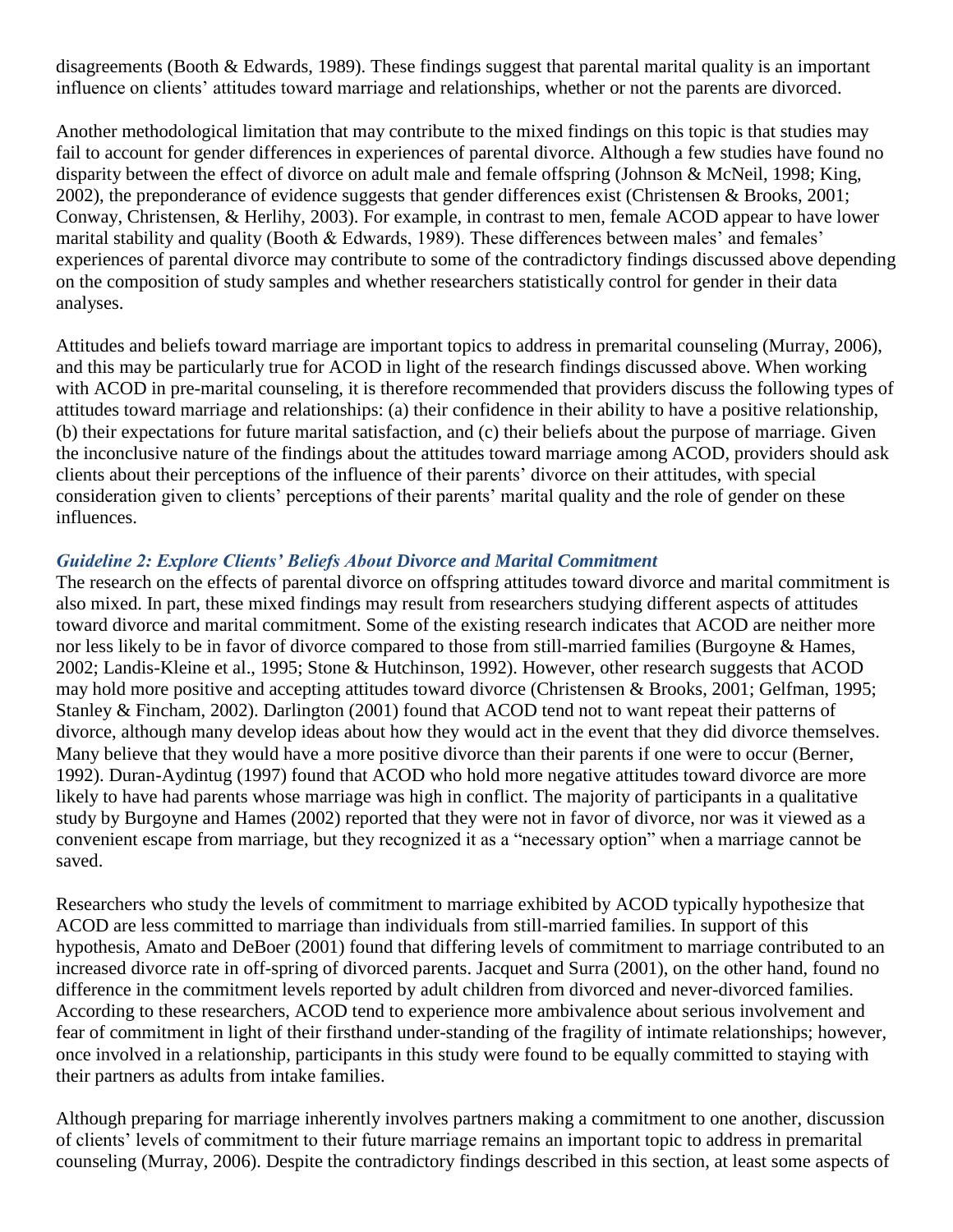disagreements (Booth & Edwards, 1989). These findings suggest that parental marital quality is an important influence on clients' attitudes toward marriage and relationships, whether or not the parents are divorced.

Another methodological limitation that may contribute to the mixed findings on this topic is that studies may fail to account for gender differences in experiences of parental divorce. Although a few studies have found no disparity between the effect of divorce on adult male and female offspring (Johnson & McNeil, 1998; King, 2002), the preponderance of evidence suggests that gender differences exist (Christensen & Brooks, 2001; Conway, Christensen, & Herlihy, 2003). For example, in contrast to men, female ACOD appear to have lower marital stability and quality (Booth & Edwards, 1989). These differences between males' and females' experiences of parental divorce may contribute to some of the contradictory findings discussed above depending on the composition of study samples and whether researchers statistically control for gender in their data analyses.

Attitudes and beliefs toward marriage are important topics to address in premarital counseling (Murray, 2006), and this may be particularly true for ACOD in light of the research findings discussed above. When working with ACOD in pre-marital counseling, it is therefore recommended that providers discuss the following types of attitudes toward marriage and relationships: (a) their confidence in their ability to have a positive relationship, (b) their expectations for future marital satisfaction, and (c) their beliefs about the purpose of marriage. Given the inconclusive nature of the findings about the attitudes toward marriage among ACOD, providers should ask clients about their perceptions of the influence of their parents' divorce on their attitudes, with special consideration given to clients' perceptions of their parents' marital quality and the role of gender on these influences.

### *Guideline 2: Explore Clients' Beliefs About Divorce and Marital Commitment*

The research on the effects of parental divorce on offspring attitudes toward divorce and marital commitment is also mixed. In part, these mixed findings may result from researchers studying different aspects of attitudes toward divorce and marital commitment. Some of the existing research indicates that ACOD are neither more nor less likely to be in favor of divorce compared to those from still-married families (Burgoyne & Hames, 2002; Landis-Kleine et al., 1995; Stone & Hutchinson, 1992). However, other research suggests that ACOD may hold more positive and accepting attitudes toward divorce (Christensen & Brooks, 2001; Gelfman, 1995; Stanley & Fincham, 2002). Darlington (2001) found that ACOD tend not to want repeat their patterns of divorce, although many develop ideas about how they would act in the event that they did divorce themselves. Many believe that they would have a more positive divorce than their parents if one were to occur (Berner, 1992). Duran-Aydintug (1997) found that ACOD who hold more negative attitudes toward divorce are more likely to have had parents whose marriage was high in conflict. The majority of participants in a qualitative study by Burgoyne and Hames (2002) reported that they were not in favor of divorce, nor was it viewed as a convenient escape from marriage, but they recognized it as a "necessary option" when a marriage cannot be saved.

Researchers who study the levels of commitment to marriage exhibited by ACOD typically hypothesize that ACOD are less committed to marriage than individuals from still-married families. In support of this hypothesis, Amato and DeBoer (2001) found that differing levels of commitment to marriage contributed to an increased divorce rate in off-spring of divorced parents. Jacquet and Surra (2001), on the other hand, found no difference in the commitment levels reported by adult children from divorced and never-divorced families. According to these researchers, ACOD tend to experience more ambivalence about serious involvement and fear of commitment in light of their firsthand under-standing of the fragility of intimate relationships; however, once involved in a relationship, participants in this study were found to be equally committed to staying with their partners as adults from intake families.

Although preparing for marriage inherently involves partners making a commitment to one another, discussion of clients' levels of commitment to their future marriage remains an important topic to address in premarital counseling (Murray, 2006). Despite the contradictory findings described in this section, at least some aspects of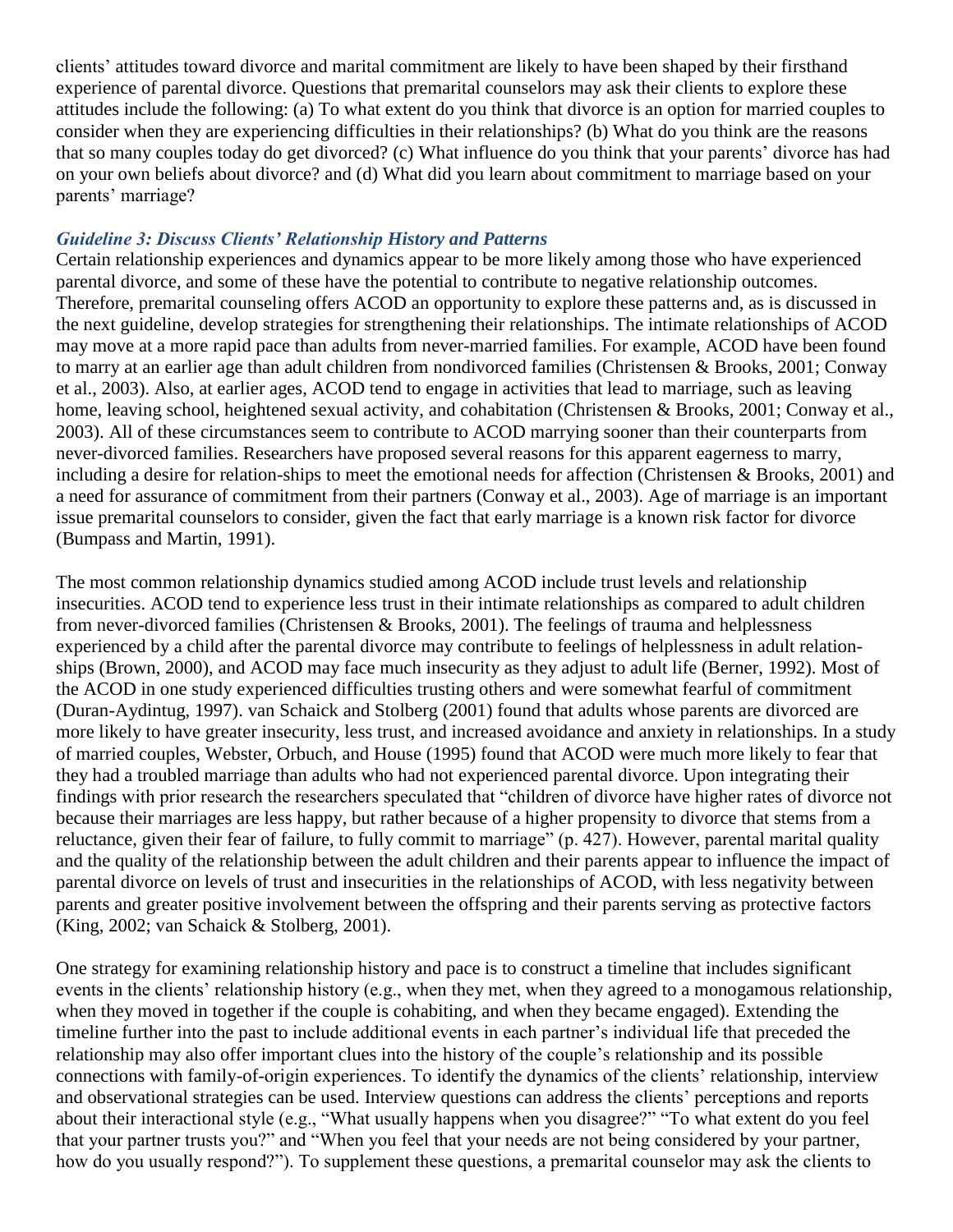clients' attitudes toward divorce and marital commitment are likely to have been shaped by their firsthand experience of parental divorce. Questions that premarital counselors may ask their clients to explore these attitudes include the following: (a) To what extent do you think that divorce is an option for married couples to consider when they are experiencing difficulties in their relationships? (b) What do you think are the reasons that so many couples today do get divorced? (c) What influence do you think that your parents' divorce has had on your own beliefs about divorce? and (d) What did you learn about commitment to marriage based on your parents' marriage?

### *Guideline 3: Discuss Clients' Relationship History and Patterns*

Certain relationship experiences and dynamics appear to be more likely among those who have experienced parental divorce, and some of these have the potential to contribute to negative relationship outcomes. Therefore, premarital counseling offers ACOD an opportunity to explore these patterns and, as is discussed in the next guideline, develop strategies for strengthening their relationships. The intimate relationships of ACOD may move at a more rapid pace than adults from never-married families. For example, ACOD have been found to marry at an earlier age than adult children from nondivorced families (Christensen & Brooks, 2001; Conway et al., 2003). Also, at earlier ages, ACOD tend to engage in activities that lead to marriage, such as leaving home, leaving school, heightened sexual activity, and cohabitation (Christensen & Brooks, 2001; Conway et al., 2003). All of these circumstances seem to contribute to ACOD marrying sooner than their counterparts from never-divorced families. Researchers have proposed several reasons for this apparent eagerness to marry, including a desire for relation-ships to meet the emotional needs for affection (Christensen & Brooks, 2001) and a need for assurance of commitment from their partners (Conway et al., 2003). Age of marriage is an important issue premarital counselors to consider, given the fact that early marriage is a known risk factor for divorce (Bumpass and Martin, 1991).

The most common relationship dynamics studied among ACOD include trust levels and relationship insecurities. ACOD tend to experience less trust in their intimate relationships as compared to adult children from never-divorced families (Christensen & Brooks, 2001). The feelings of trauma and helplessness experienced by a child after the parental divorce may contribute to feelings of helplessness in adult relationships (Brown, 2000), and ACOD may face much insecurity as they adjust to adult life (Berner, 1992). Most of the ACOD in one study experienced difficulties trusting others and were somewhat fearful of commitment (Duran-Aydintug, 1997). van Schaick and Stolberg (2001) found that adults whose parents are divorced are more likely to have greater insecurity, less trust, and increased avoidance and anxiety in relationships. In a study of married couples, Webster, Orbuch, and House (1995) found that ACOD were much more likely to fear that they had a troubled marriage than adults who had not experienced parental divorce. Upon integrating their findings with prior research the researchers speculated that "children of divorce have higher rates of divorce not because their marriages are less happy, but rather because of a higher propensity to divorce that stems from a reluctance, given their fear of failure, to fully commit to marriage" (p. 427). However, parental marital quality and the quality of the relationship between the adult children and their parents appear to influence the impact of parental divorce on levels of trust and insecurities in the relationships of ACOD, with less negativity between parents and greater positive involvement between the offspring and their parents serving as protective factors (King, 2002; van Schaick & Stolberg, 2001).

One strategy for examining relationship history and pace is to construct a timeline that includes significant events in the clients' relationship history (e.g., when they met, when they agreed to a monogamous relationship, when they moved in together if the couple is cohabiting, and when they became engaged). Extending the timeline further into the past to include additional events in each partner's individual life that preceded the relationship may also offer important clues into the history of the couple's relationship and its possible connections with family-of-origin experiences. To identify the dynamics of the clients' relationship, interview and observational strategies can be used. Interview questions can address the clients' perceptions and reports about their interactional style (e.g., "What usually happens when you disagree?" "To what extent do you feel that your partner trusts you?" and "When you feel that your needs are not being considered by your partner, how do you usually respond?"). To supplement these questions, a premarital counselor may ask the clients to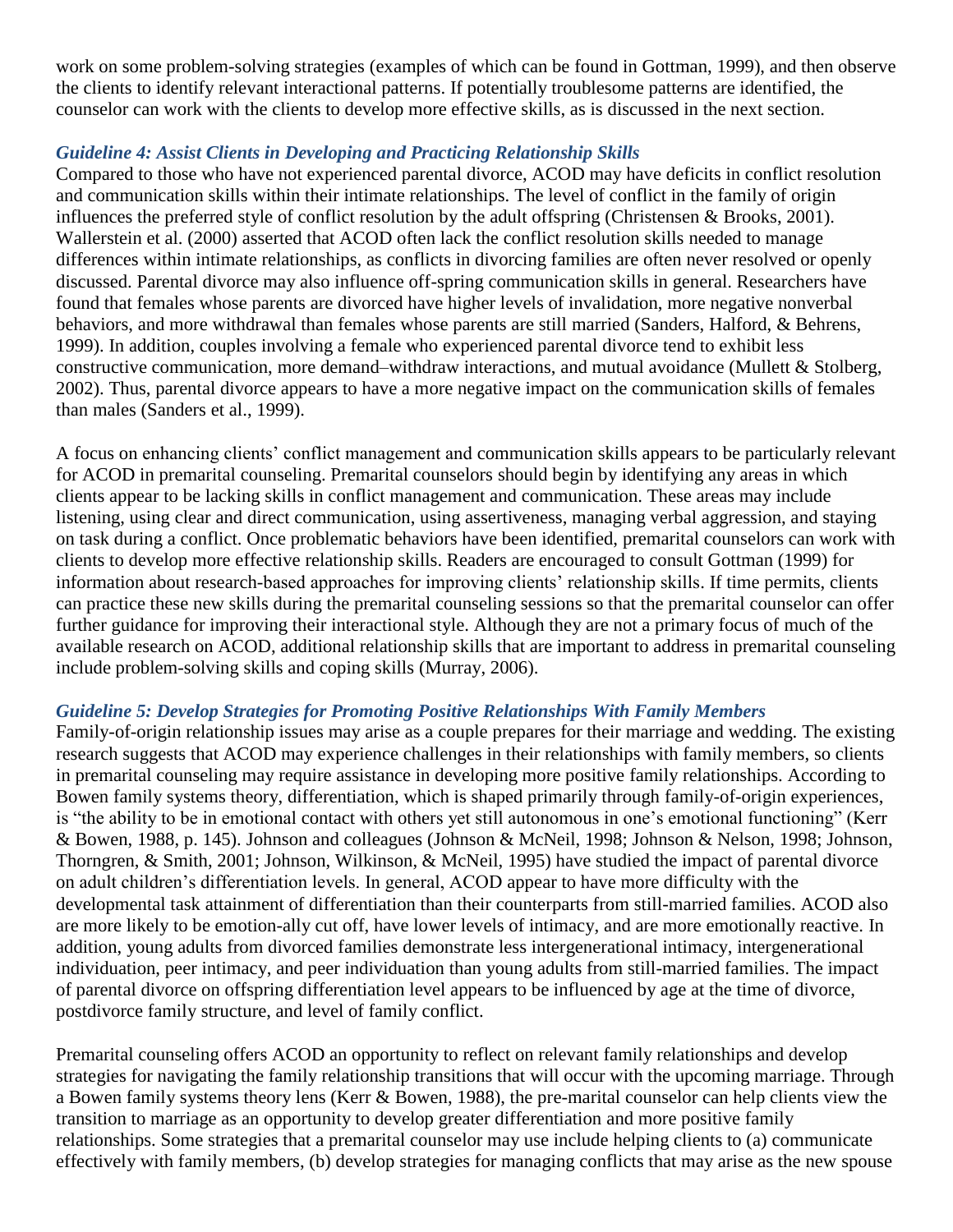work on some problem-solving strategies (examples of which can be found in Gottman, 1999), and then observe the clients to identify relevant interactional patterns. If potentially troublesome patterns are identified, the counselor can work with the clients to develop more effective skills, as is discussed in the next section.

## *Guideline 4: Assist Clients in Developing and Practicing Relationship Skills*

Compared to those who have not experienced parental divorce, ACOD may have deficits in conflict resolution and communication skills within their intimate relationships. The level of conflict in the family of origin influences the preferred style of conflict resolution by the adult offspring (Christensen & Brooks, 2001). Wallerstein et al. (2000) asserted that ACOD often lack the conflict resolution skills needed to manage differences within intimate relationships, as conflicts in divorcing families are often never resolved or openly discussed. Parental divorce may also influence off-spring communication skills in general. Researchers have found that females whose parents are divorced have higher levels of invalidation, more negative nonverbal behaviors, and more withdrawal than females whose parents are still married (Sanders, Halford, & Behrens, 1999). In addition, couples involving a female who experienced parental divorce tend to exhibit less constructive communication, more demand–withdraw interactions, and mutual avoidance (Mullett & Stolberg, 2002). Thus, parental divorce appears to have a more negative impact on the communication skills of females than males (Sanders et al., 1999).

A focus on enhancing clients' conflict management and communication skills appears to be particularly relevant for ACOD in premarital counseling. Premarital counselors should begin by identifying any areas in which clients appear to be lacking skills in conflict management and communication. These areas may include listening, using clear and direct communication, using assertiveness, managing verbal aggression, and staying on task during a conflict. Once problematic behaviors have been identified, premarital counselors can work with clients to develop more effective relationship skills. Readers are encouraged to consult Gottman (1999) for information about research-based approaches for improving clients' relationship skills. If time permits, clients can practice these new skills during the premarital counseling sessions so that the premarital counselor can offer further guidance for improving their interactional style. Although they are not a primary focus of much of the available research on ACOD, additional relationship skills that are important to address in premarital counseling include problem-solving skills and coping skills (Murray, 2006).

## *Guideline 5: Develop Strategies for Promoting Positive Relationships With Family Members*

Family-of-origin relationship issues may arise as a couple prepares for their marriage and wedding. The existing research suggests that ACOD may experience challenges in their relationships with family members, so clients in premarital counseling may require assistance in developing more positive family relationships. According to Bowen family systems theory, differentiation, which is shaped primarily through family-of-origin experiences, is "the ability to be in emotional contact with others yet still autonomous in one's emotional functioning" (Kerr & Bowen, 1988, p. 145). Johnson and colleagues (Johnson & McNeil, 1998; Johnson & Nelson, 1998; Johnson, Thorngren, & Smith, 2001; Johnson, Wilkinson, & McNeil, 1995) have studied the impact of parental divorce on adult children's differentiation levels. In general, ACOD appear to have more difficulty with the developmental task attainment of differentiation than their counterparts from still-married families. ACOD also are more likely to be emotion-ally cut off, have lower levels of intimacy, and are more emotionally reactive. In addition, young adults from divorced families demonstrate less intergenerational intimacy, intergenerational individuation, peer intimacy, and peer individuation than young adults from still-married families. The impact of parental divorce on offspring differentiation level appears to be influenced by age at the time of divorce, postdivorce family structure, and level of family conflict.

Premarital counseling offers ACOD an opportunity to reflect on relevant family relationships and develop strategies for navigating the family relationship transitions that will occur with the upcoming marriage. Through a Bowen family systems theory lens (Kerr & Bowen, 1988), the pre-marital counselor can help clients view the transition to marriage as an opportunity to develop greater differentiation and more positive family relationships. Some strategies that a premarital counselor may use include helping clients to (a) communicate effectively with family members, (b) develop strategies for managing conflicts that may arise as the new spouse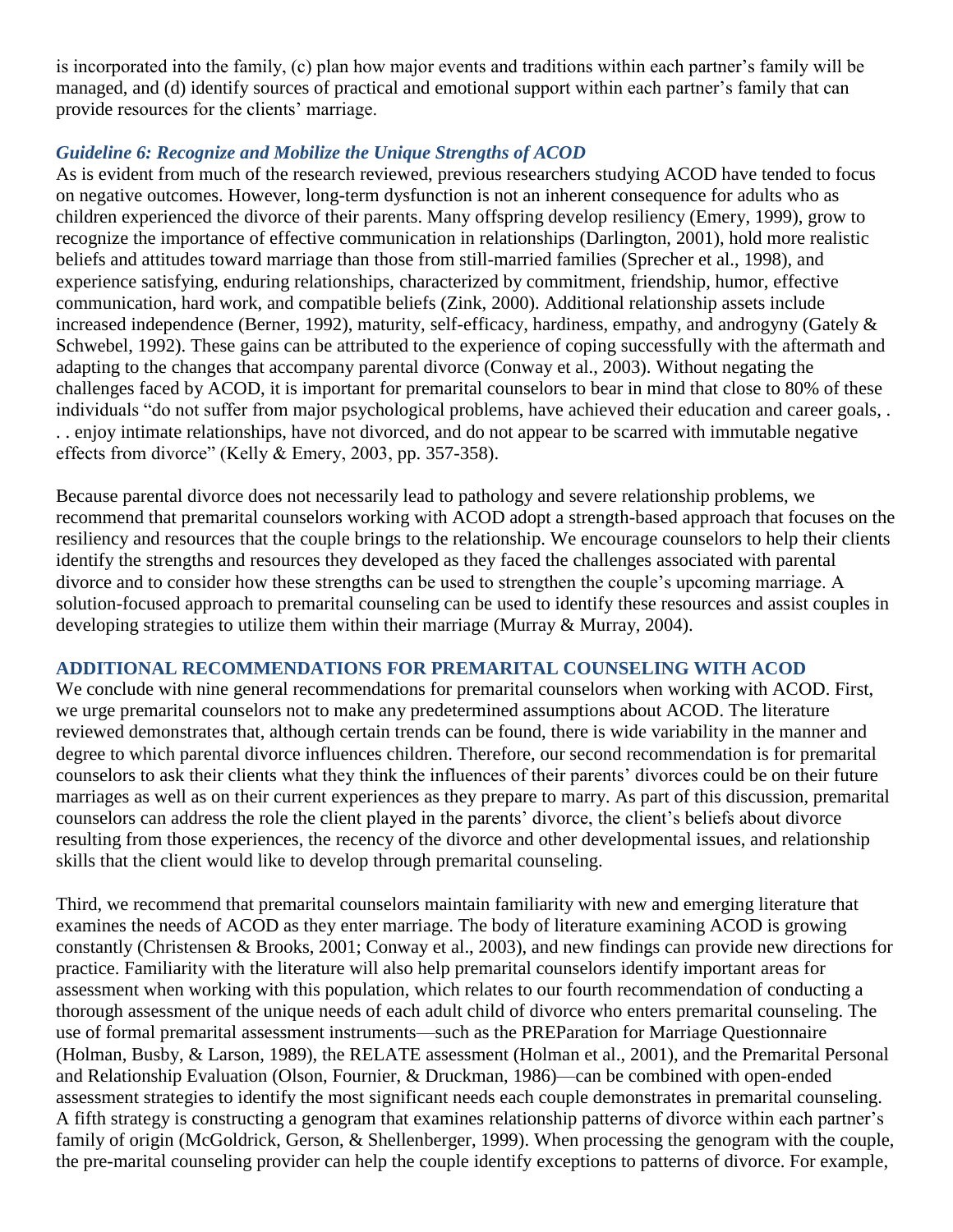is incorporated into the family, (c) plan how major events and traditions within each partner's family will be managed, and (d) identify sources of practical and emotional support within each partner's family that can provide resources for the clients' marriage.

## *Guideline 6: Recognize and Mobilize the Unique Strengths of ACOD*

As is evident from much of the research reviewed, previous researchers studying ACOD have tended to focus on negative outcomes. However, long-term dysfunction is not an inherent consequence for adults who as children experienced the divorce of their parents. Many offspring develop resiliency (Emery, 1999), grow to recognize the importance of effective communication in relationships (Darlington, 2001), hold more realistic beliefs and attitudes toward marriage than those from still-married families (Sprecher et al., 1998), and experience satisfying, enduring relationships, characterized by commitment, friendship, humor, effective communication, hard work, and compatible beliefs (Zink, 2000). Additional relationship assets include increased independence (Berner, 1992), maturity, self-efficacy, hardiness, empathy, and androgyny (Gately & Schwebel, 1992). These gains can be attributed to the experience of coping successfully with the aftermath and adapting to the changes that accompany parental divorce (Conway et al., 2003). Without negating the challenges faced by ACOD, it is important for premarital counselors to bear in mind that close to 80% of these individuals "do not suffer from major psychological problems, have achieved their education and career goals, . . . enjoy intimate relationships, have not divorced, and do not appear to be scarred with immutable negative effects from divorce" (Kelly  $&$  Emery, 2003, pp. 357-358).

Because parental divorce does not necessarily lead to pathology and severe relationship problems, we recommend that premarital counselors working with ACOD adopt a strength-based approach that focuses on the resiliency and resources that the couple brings to the relationship. We encourage counselors to help their clients identify the strengths and resources they developed as they faced the challenges associated with parental divorce and to consider how these strengths can be used to strengthen the couple's upcoming marriage. A solution-focused approach to premarital counseling can be used to identify these resources and assist couples in developing strategies to utilize them within their marriage (Murray & Murray, 2004).

## **ADDITIONAL RECOMMENDATIONS FOR PREMARITAL COUNSELING WITH ACOD**

We conclude with nine general recommendations for premarital counselors when working with ACOD. First, we urge premarital counselors not to make any predetermined assumptions about ACOD. The literature reviewed demonstrates that, although certain trends can be found, there is wide variability in the manner and degree to which parental divorce influences children. Therefore, our second recommendation is for premarital counselors to ask their clients what they think the influences of their parents' divorces could be on their future marriages as well as on their current experiences as they prepare to marry. As part of this discussion, premarital counselors can address the role the client played in the parents' divorce, the client's beliefs about divorce resulting from those experiences, the recency of the divorce and other developmental issues, and relationship skills that the client would like to develop through premarital counseling.

Third, we recommend that premarital counselors maintain familiarity with new and emerging literature that examines the needs of ACOD as they enter marriage. The body of literature examining ACOD is growing constantly (Christensen & Brooks, 2001; Conway et al., 2003), and new findings can provide new directions for practice. Familiarity with the literature will also help premarital counselors identify important areas for assessment when working with this population, which relates to our fourth recommendation of conducting a thorough assessment of the unique needs of each adult child of divorce who enters premarital counseling. The use of formal premarital assessment instruments—such as the PREParation for Marriage Questionnaire (Holman, Busby, & Larson, 1989), the RELATE assessment (Holman et al., 2001), and the Premarital Personal and Relationship Evaluation (Olson, Fournier, & Druckman, 1986)—can be combined with open-ended assessment strategies to identify the most significant needs each couple demonstrates in premarital counseling. A fifth strategy is constructing a genogram that examines relationship patterns of divorce within each partner's family of origin (McGoldrick, Gerson, & Shellenberger, 1999). When processing the genogram with the couple, the pre-marital counseling provider can help the couple identify exceptions to patterns of divorce. For example,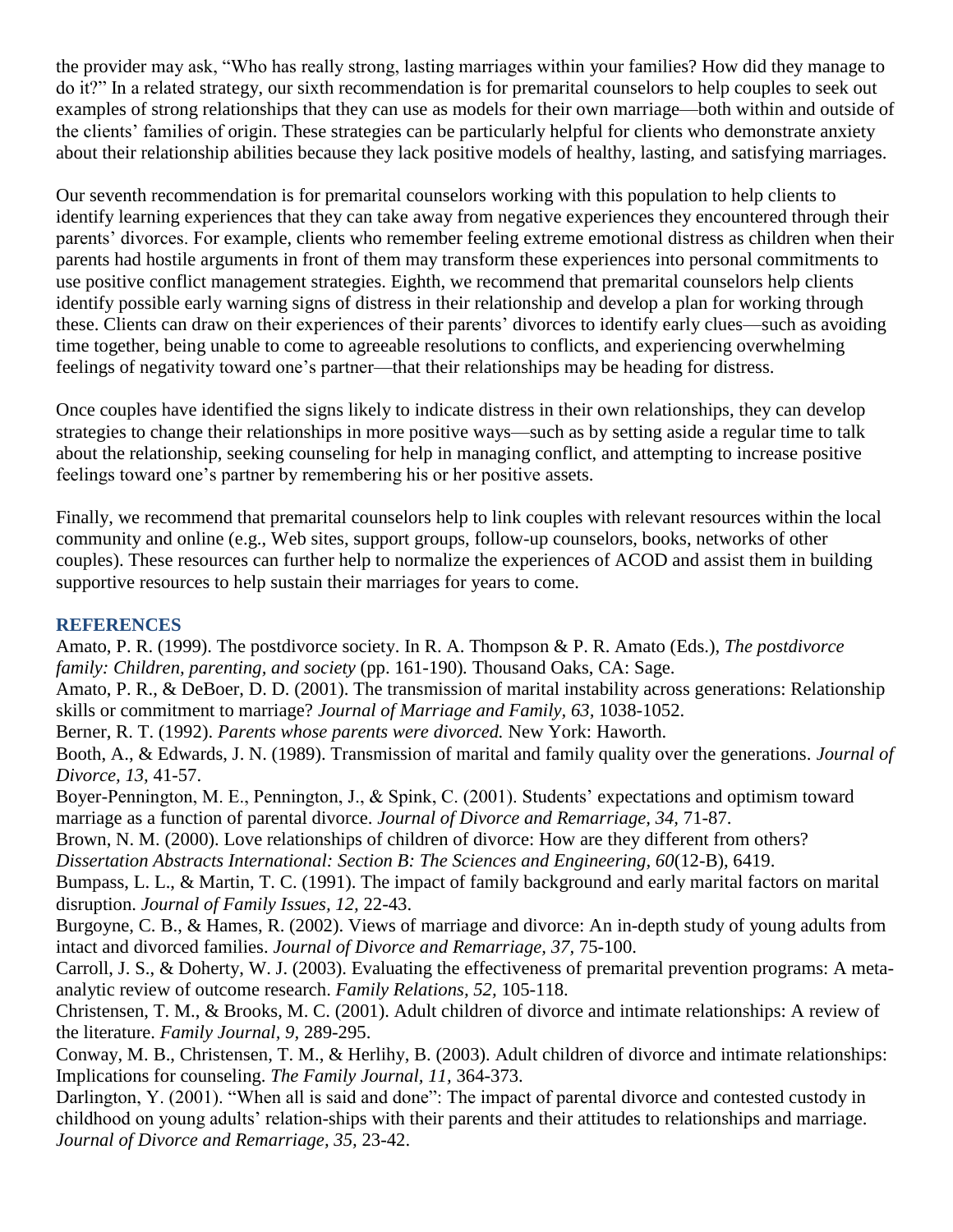the provider may ask, "Who has really strong, lasting marriages within your families? How did they manage to do it?" In a related strategy, our sixth recommendation is for premarital counselors to help couples to seek out examples of strong relationships that they can use as models for their own marriage—both within and outside of the clients' families of origin. These strategies can be particularly helpful for clients who demonstrate anxiety about their relationship abilities because they lack positive models of healthy, lasting, and satisfying marriages.

Our seventh recommendation is for premarital counselors working with this population to help clients to identify learning experiences that they can take away from negative experiences they encountered through their parents' divorces. For example, clients who remember feeling extreme emotional distress as children when their parents had hostile arguments in front of them may transform these experiences into personal commitments to use positive conflict management strategies. Eighth, we recommend that premarital counselors help clients identify possible early warning signs of distress in their relationship and develop a plan for working through these. Clients can draw on their experiences of their parents' divorces to identify early clues—such as avoiding time together, being unable to come to agreeable resolutions to conflicts, and experiencing overwhelming feelings of negativity toward one's partner—that their relationships may be heading for distress.

Once couples have identified the signs likely to indicate distress in their own relationships, they can develop strategies to change their relationships in more positive ways—such as by setting aside a regular time to talk about the relationship, seeking counseling for help in managing conflict, and attempting to increase positive feelings toward one's partner by remembering his or her positive assets.

Finally, we recommend that premarital counselors help to link couples with relevant resources within the local community and online (e.g., Web sites, support groups, follow-up counselors, books, networks of other couples). These resources can further help to normalize the experiences of ACOD and assist them in building supportive resources to help sustain their marriages for years to come.

## **REFERENCES**

Amato, P. R. (1999). The postdivorce society. In R. A. Thompson & P. R. Amato (Eds.), *The postdivorce family: Children, parenting, and society (pp. 161-190). Thousand Oaks, CA: Sage.* 

Amato, P. R., & DeBoer, D. D. (2001). The transmission of marital instability across generations: Relationship skills or commitment to marriage? *Journal of Marriage and Family, 63,* 1038-1052.

Berner, R. T. (1992). *Parents whose parents were divorced.* New York: Haworth.

Booth, A., & Edwards, J. N. (1989). Transmission of marital and family quality over the generations. *Journal of Divorce, 13,* 41-57.

Boyer-Pennington, M. E., Pennington, J., & Spink, C. (2001). Students' expectations and optimism toward marriage as a function of parental divorce. *Journal of Divorce and Remarriage, 34,* 71-87.

Brown, N. M. (2000). Love relationships of children of divorce: How are they different from others? *Dissertation Abstracts International: Section B: The Sciences and Engineering, 60*(12-B), 6419.

Bumpass, L. L., & Martin, T. C. (1991). The impact of family background and early marital factors on marital disruption. *Journal of Family Issues, 12,* 22-43.

Burgoyne, C. B., & Hames, R. (2002). Views of marriage and divorce: An in-depth study of young adults from intact and divorced families. *Journal of Divorce and Remarriage, 37,* 75-100.

Carroll, J. S., & Doherty, W. J. (2003). Evaluating the effectiveness of premarital prevention programs: A metaanalytic review of outcome research. *Family Relations, 52,* 105-118.

Christensen, T. M., & Brooks, M. C. (2001). Adult children of divorce and intimate relationships: A review of the literature. *Family Journal, 9,* 289-295.

Conway, M. B., Christensen, T. M., & Herlihy, B. (2003). Adult children of divorce and intimate relationships: Implications for counseling. *The Family Journal, 11,* 364-373.

Darlington, Y. (2001). "When all is said and done": The impact of parental divorce and contested custody in childhood on young adults' relation-ships with their parents and their attitudes to relationships and marriage. *Journal of Divorce and Remarriage, 35,* 23-42.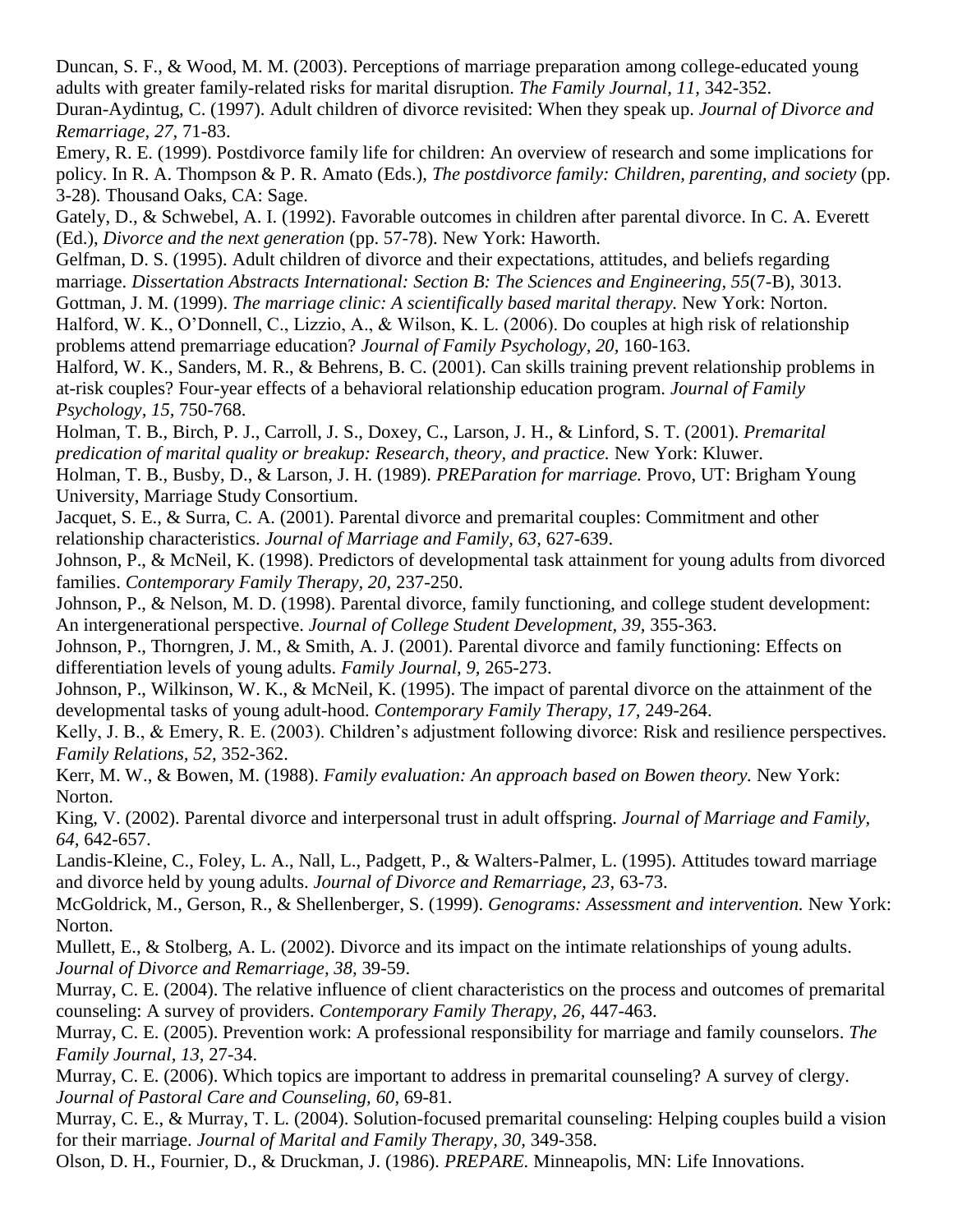Duncan, S. F., & Wood, M. M. (2003). Perceptions of marriage preparation among college-educated young adults with greater family-related risks for marital disruption. *The Family Journal, 11,* 342-352.

Duran-Aydintug, C. (1997). Adult children of divorce revisited: When they speak up. *Journal of Divorce and Remarriage, 27,* 71-83.

Emery, R. E. (1999). Postdivorce family life for children: An overview of research and some implications for policy. In R. A. Thompson & P. R. Amato (Eds.), *The postdivorce family: Children, parenting, and society* (pp. 3-28)*.* Thousand Oaks, CA: Sage.

Gately, D., & Schwebel, A. I. (1992). Favorable outcomes in children after parental divorce. In C. A. Everett (Ed.), *Divorce and the next generation* (pp. 57-78)*.* New York: Haworth.

Gelfman, D. S. (1995). Adult children of divorce and their expectations, attitudes, and beliefs regarding marriage. *Dissertation Abstracts International: Section B: The Sciences and Engineering, 55*(7-B), 3013. Gottman, J. M. (1999). *The marriage clinic: A scientifically based marital therapy.* New York: Norton.

Halford, W. K., O'Donnell, C., Lizzio, A., & Wilson, K. L. (2006). Do couples at high risk of relationship problems attend premarriage education? *Journal of Family Psychology, 20,* 160-163.

Halford, W. K., Sanders, M. R., & Behrens, B. C. (2001). Can skills training prevent relationship problems in at-risk couples? Four-year effects of a behavioral relationship education program. *Journal of Family Psychology, 15,* 750-768.

Holman, T. B., Birch, P. J., Carroll, J. S., Doxey, C., Larson, J. H., & Linford, S. T. (2001). *Premarital predication of marital quality or breakup: Research, theory, and practice.* New York: Kluwer.

Holman, T. B., Busby, D., & Larson, J. H. (1989). *PREParation for marriage.* Provo, UT: Brigham Young University, Marriage Study Consortium.

Jacquet, S. E., & Surra, C. A. (2001). Parental divorce and premarital couples: Commitment and other relationship characteristics. *Journal of Marriage and Family, 63,* 627-639.

Johnson, P., & McNeil, K. (1998). Predictors of developmental task attainment for young adults from divorced families. *Contemporary Family Therapy, 20,* 237-250.

Johnson, P., & Nelson, M. D. (1998). Parental divorce, family functioning, and college student development: An intergenerational perspective. *Journal of College Student Development, 39,* 355-363.

Johnson, P., Thorngren, J. M., & Smith, A. J. (2001). Parental divorce and family functioning: Effects on differentiation levels of young adults. *Family Journal, 9,* 265-273.

Johnson, P., Wilkinson, W. K., & McNeil, K. (1995). The impact of parental divorce on the attainment of the developmental tasks of young adult-hood. *Contemporary Family Therapy, 17,* 249-264.

Kelly, J. B., & Emery, R. E. (2003). Children's adjustment following divorce: Risk and resilience perspectives. *Family Relations, 52,* 352-362.

Kerr, M. W., & Bowen, M. (1988). *Family evaluation: An approach based on Bowen theory.* New York: Norton.

King, V. (2002). Parental divorce and interpersonal trust in adult offspring. *Journal of Marriage and Family, 64,* 642-657.

Landis-Kleine, C., Foley, L. A., Nall, L., Padgett, P., & Walters-Palmer, L. (1995). Attitudes toward marriage and divorce held by young adults. *Journal of Divorce and Remarriage, 23,* 63-73.

McGoldrick, M., Gerson, R., & Shellenberger, S. (1999). *Genograms: Assessment and intervention.* New York: Norton.

Mullett, E., & Stolberg, A. L. (2002). Divorce and its impact on the intimate relationships of young adults. *Journal of Divorce and Remarriage, 38,* 39-59.

Murray, C. E. (2004). The relative influence of client characteristics on the process and outcomes of premarital counseling: A survey of providers. *Contemporary Family Therapy, 26,* 447-463.

Murray, C. E. (2005). Prevention work: A professional responsibility for marriage and family counselors. *The Family Journal, 13,* 27-34.

Murray, C. E. (2006). Which topics are important to address in premarital counseling? A survey of clergy. *Journal of Pastoral Care and Counseling, 60,* 69-81.

Murray, C. E., & Murray, T. L. (2004). Solution-focused premarital counseling: Helping couples build a vision for their marriage. *Journal of Marital and Family Therapy, 30,* 349-358.

Olson, D. H., Fournier, D., & Druckman, J. (1986). *PREPARE.* Minneapolis, MN: Life Innovations.